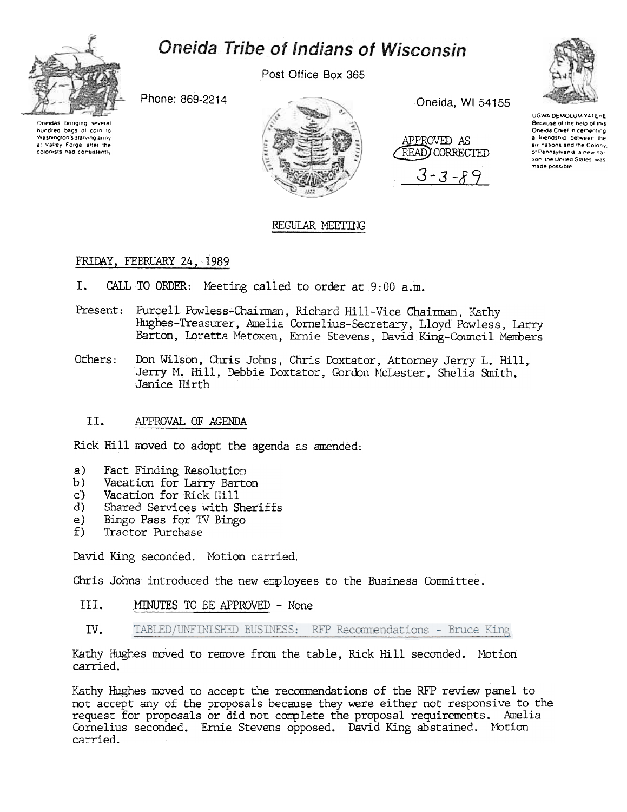

# Oneida Tribe of Indians of Wisconsin

Post Office Box 365

Phone: 869-2214

Oneidas bringing several hundred bags of corn to Washington's starving army at Valley Force, after the colonists had consistently



Oneida, WI 54155

APPROVED AS READ) CORRECTED  $3 - 3 - 89$ 



**UGWA DEMOU IN VATERE** Because of the help of this Oneida Chief in cementing a friendship between the six nations and the Colony. of Pennsylvania, a new nation the United States, was made possible

## REGULAR MEETING

## FRIDAY, FEBRUARY 24, 1989

- I. CALL TO ORDER: Meeting called to order at 9:00 a.m.
- Present: Purcell Powless-Chairman, Richard Hill-Vice Chairman, Kathy Hughes-Treasurer, Amelia Cornelius-Secretary, Lloyd Powless, Larry Barton, Loretta Metoxen, Ernie Stevens, David King-Council Members
- Others: Don Wilson, Chris Johns, Chris Doxtator, Attorney Jerry L. Hill. Jerry M. Hill, Debbie Doxtator, Gordon McLester, Shelia Smith, Janice Hirth

### II. APPROVAL OF AGENDA

Rick Hill moved to adopt the agenda as amended:

- a)
- Fact Finding Resolution<br>Vacation for Larry Barton  $b)$
- Vacation for Rick Hill  $c$ )
- $\mathbf{d}$ Shared Services with Sheriffs
- $e)$ Bingo Pass for TV Bingo
- $f$ ) Tractor Purchase

David King seconded. Motion carried.

Chris Johns introduced the new employees to the Business Committee.

- III. MINUTES TO BE APPROVED - None
- IV. TABLED/UNFINISHED BUSINESS: RFP Recommendations - Bruce King

Kathy Hughes moved to remove from the table. Rick Hill seconded. Motion carried.

Kathy Hughes moved to accept the recommendations of the RFP review panel to not accept any of the proposals because they were either not responsive to the request for proposals or did not complete the proposal requirements. Amelia Cornelius seconded. Ernie Stevens opposed. David King abstained. Motion carried.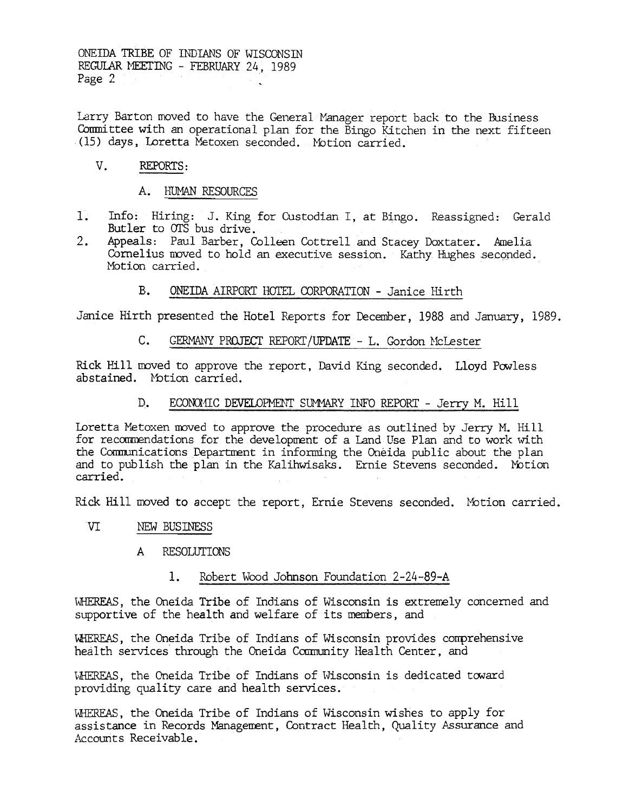ONEIDA TRIBE OF INDIANS OF WISCONSTN REGULAR MEETING - FEBRUARY 24, 1989 Page 2

Larry Barton moved to have the General Manager report back to the Business Committee with an operational plan for the Bingo Kitchen in the next fifteen (15) days, Loretta Metoxen seconded. Motion carried.

#### $V_{\perp}$ REPORTS:

### A. HUMAN RESOURCES

- Info: Hiring: J. King for Custodian I, at Bingo. Reassigned: Gerald  $11 -$ Butler to OTS bus drive.
- $2.$ Appeals: Paul Barber, Colleen Cottrell and Stacey Doxtater. Amelia Cornelius moved to hold an executive session. Kathy Hughes seconded. Motion carried.

### $B_{-}$ ONEIDA AIRPORT HOTEL CORPORATION - Janice Hirth

Janice Hirth presented the Hotel Reports for December, 1988 and January, 1989.

 $\mathsf{C}$ . GERMANY PROJECT REPORT/UPDATE - L. Gordon McLester

Rick Hill moved to approve the report, David King seconded. Lloyd Powless abstained. Motion carried.

> D. ECONOMIC DEVELOPMENT SUMMARY INFO REPORT - Jerry M. Hill

Loretta Metoxen moved to approve the procedure as outlined by Jerry M. Hill for recommendations for the development of a Land Use Plan and to work with the Communications Department in informing the Oneida public about the plan and to publish the plan in the Kalihwisaks. Ernie Stevens seconded. Motion carried.

Rick Hill moved to accept the report, Ernie Stevens seconded. Motion carried.

- **VI** NEW BUSINESS
	- **RESOLUTIONS**  $\mathsf{A}$

### Robert Wood Johnson Foundation 2-24-89-A 1.

WHEREAS, the Oneida Tribe of Indians of Wisconsin is extremely concerned and supportive of the health and welfare of its members, and

WHEREAS, the Oneida Tribe of Indians of Wisconsin provides comprehensive health services through the Oneida Community Health Center, and

WHEREAS, the Oneida Tribe of Indians of Wisconsin is dedicated toward providing quality care and health services.

WHEREAS, the Oneida Tribe of Indians of Wisconsin wishes to apply for assistance in Records Management, Contract Health, Quality Assurance and Accounts Receivable.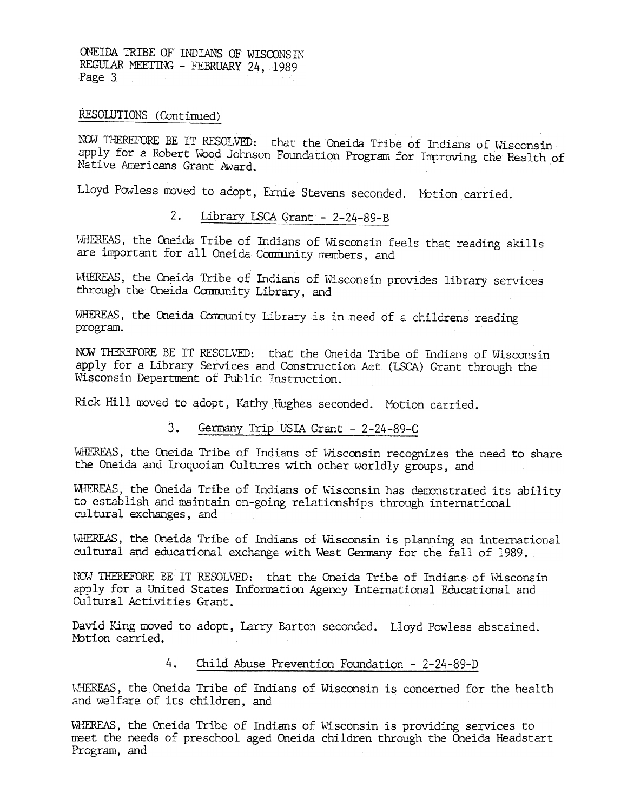ONEIDA TRIBE OF INDIANS OF WISCONSIN REGULAR MEETING - FEBRUARY 24, 1989 Page 3

RESOLUTIONS (Continued)

NOW THEREFORE BE IT RESOLVED: that the Oneida Tribe of Indians of Wisconsin apply for a Robert Wood Johnson Foundation Program for Improving the Health of Native Americans Grant Award.

Lloyd Powless moved to adopt, Ernie Stevens seconded. Motion carried.

### $2.$ Library LSCA Grant  $-2-24-89-B$

WHEREAS, the Oneida Tribe of Indians of Wisconsin feels that reading skills are important for all Oneida Community members, and

WHEREAS, the Oneida Tribe of Indians of Wisconsin provides library services through the Oneida Camunity Library, and

WHEREAS, the Oneida Community Library is in need of a childrens reading program.

NOW THEREFORE BE IT RESOLVED: that the Oneida Tribe of Indians of Wisconsin apply for a Library Services and Construction Act. (LSCA) Grant through the Wisconsin Department of Public Instruction.

Rick Hill moved to adopt, Kathy Hughes seconded. Motion carried.

### 3. Germany Trip USIA Grant  $-2-24-89-C$

WHEREAS, the Oneida Tribe of Indians of Wisconsin recognizes the need to share the Oneida and Iroquoian Cultures with other worldly groups, and

WHEREAS, the Oneida Tribe of Indians of Wisconsin has demonstrated its ability to establish and maintain on-going relationships through international cultural exchanges, and

WHEREAS, the Oneida Tribe of Indians of Wisconsin is planning an international cultural and educational exchange with West Germany for the fall of 1989.

NOW THEREFORE BE IT RESOLVED: that the Oneida Tribe of Indians of Wisconsin apply for a United States Information Agency International Educational and Cultural Activities Grant.

David King moved to adopt, Larry Barton seconded. Lloyd Powless abstain Motion carried.

#### $4<sup>1</sup>$ Child Abuse Prevention Foundation -2-24-89-D

WHEREAS, the Oneida Tribe of Indians of Wisconsin is concerned for the health and welfare of its children, and

WHEREAS, the Oneida Tribe of Indians of Wisconsin is providing services to meet the needs of preschool aged Oneida children through the Oneida Headstart Program, and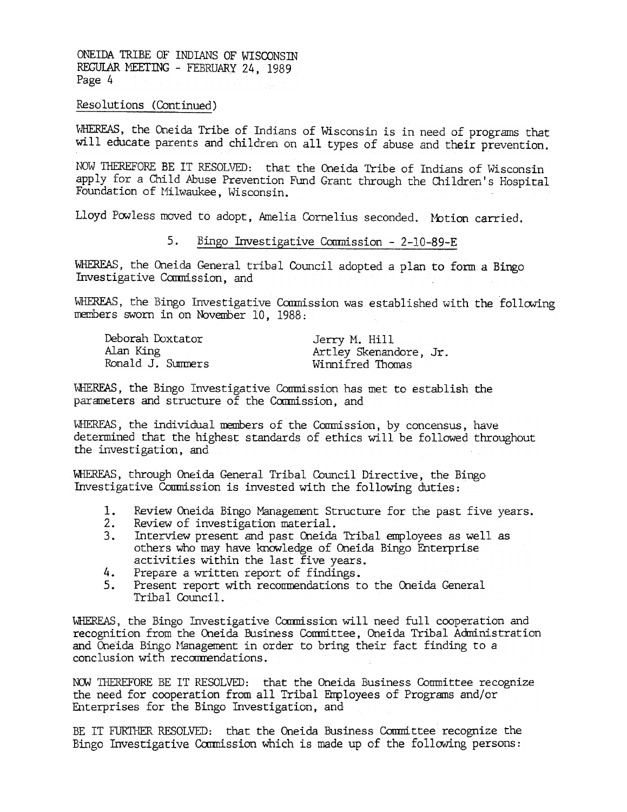ONEIDA TRIBE OF INDIANS OF WISCONSTN REGUIAR MEETING - FEBRUARY 24, 1989 Page 4

Resolutions (Continued)

WHEREAS, the Oneida Tribe of Indians of Wisconsin is in need of programs that will educate parents and children on all types of abuse and their prevention.

NOW THEREFORE BE IT RESOLVED: that the Oneida Tribe of Indians of Wisconsin apply for a Child Abuse Prevention Fund Grant through the Children's Hospital Foundation of Milwaukee, Wisconsin.

Lloyd Powless moved to adopt, Amelia Cornelius seconded. Motion carried.

### 5. Bingo Investigative Commission - 2-10-89-E

WHEREAS, the Oneida General tribal Council adopted a plan to form a Bingo Investigative Commission, and

WHEREAS, the Bingo Investigative Commission was established with the following members sworn in on November 10, 1988:

| Deborah Doxtator  | Jerry M. Hill         |
|-------------------|-----------------------|
| Alan King         | Artley Skenandore, Jr |
| Ronald J. Summers | Winnifred Thomas      |

WHEREAS, the Bingo Investigative Commission has met to establish the parameters and structure of the Commission, and

WHEREAS, the individual members of the Commission, by concensus, have determined that the highest standards of ethics will be followed throughout the investigation, and

'WHERFAS, through Oneida General Tribal Council Directive, the Bingo Investigative Conmission is invested with the following duties:

- 1. Review oneida Bingo Management Structure for the past five years.
- 2. Review of investigation material.
- 3. Interview present and past oneida Tribal employees as well as others who may have knowledge of Oneida Bingo Enterprise activities within the last five years.
- 4. Prepare a written report of findings.
- 5. Present report with recommendations to the Oneida General Tribal Council.

WHEREAS, the Bingo Investigative Commission will need full cooperation and recognition from the Oneida Business Committee, Oneida Tribal Administration and Oneida Bingo Management in order to bring their fact finding to a conclusion with recommendations.

NOW THEREFORE BE IT RESOLVED: that the Oneida Business Committee recognize the need for cooperation from all Tribal Fnployees of Programs and/or Erlterprises for the Bingo Investigation, and

BE IT FURTHER RESOLVED: that the Oneida Business Committee recognize the Bingo Investigative Commission which is made up of the following persons: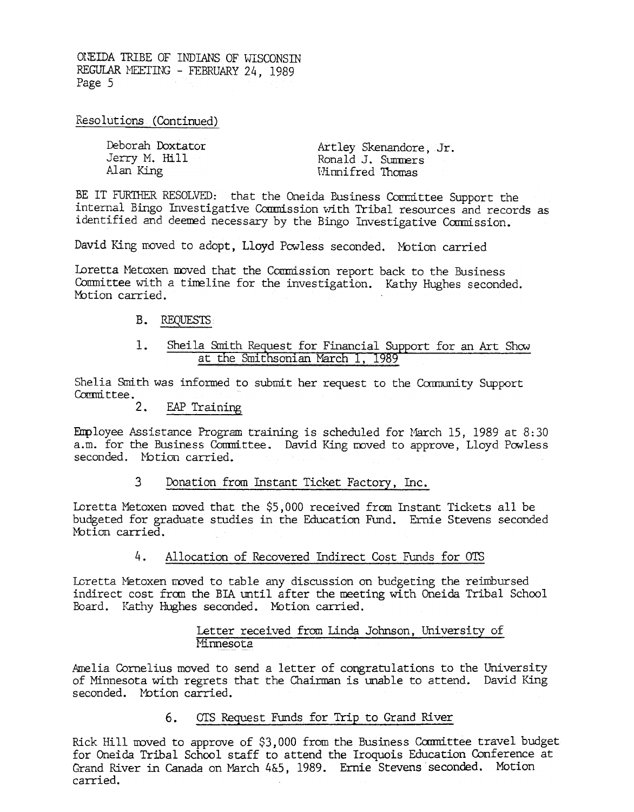OUEIDA TRIBE OF INDIANS OF WISCONSIN REGULAR MEETING - FEBRUARY 24, 1989 Page 5

Resolutions (Continued)

| Deborah Doxtator | Artley Skenandore, Jr. |
|------------------|------------------------|
| Jerry M. Hill    | Ronald J. Summers      |
| Alan King        | Winnifred Thomas       |

BE IT FURTHER RESOLVED: that the Oneida Business Committee Support the internal Bingo Investigative Commission with Tribal resources and records as identified and deemed necessary by the Bingo Investigative Commission.

David King moved to adopt. Lloyd Powless seconded. Motion carried

Loretta Metoxen moved that the Commission report back to the Business Committee with a timeline for the investigation. Kathy Hughes seconded. Motion carried.

### B. REQUESTS

### $1.$ Sheila Smith Request for Financial Support for an Art Show at the Smithsonian March 1, 1989

Shelia Smith was informed to submit her request to the Community Support Committee.

 $2.$ EAP Training

Employee Assistance Program training is scheduled for March 15, 1989 at 8:30 a.m. for the Business Committee. David King moved to approve, Lloyd Powless seconded. Motion carried.

#### $\mathbf{3}$ Donation from Instant Ticket Factory, Inc.

Loretta Metoxen moved that the \$5,000 received from Instant Tickets all be budgeted for graduate studies in the Education Fund. Ernie Stevens seconded Motion carried.

#### $4.1$ Allocation of Recovered Indirect Cost Funds for OTS

Loretta Metoxen moved to table any discussion on budgeting the reimbursed indirect cost from the BIA until after the meeting with Oneida Tribal School Board. Kathy Hughes seconded. Motion carried.

### Letter received from Linda Johnson, University of Minnesota

Amelia Cornelius moved to send a letter of congratulations to the University of Minnesota with regrets that the Chairman is unable to attend. David King seconded. Motion carried.

#### $6.$ OTS Request Funds for Trip to Grand River

Rick Hill moved to approve of \$3,000 from the Business Committee travel budget for Oneida Tribal School staff to attend the Iroquois Education Conference at Grand River in Canada on March 4&5, 1989. Ernie Stevens seconded. Motion carried.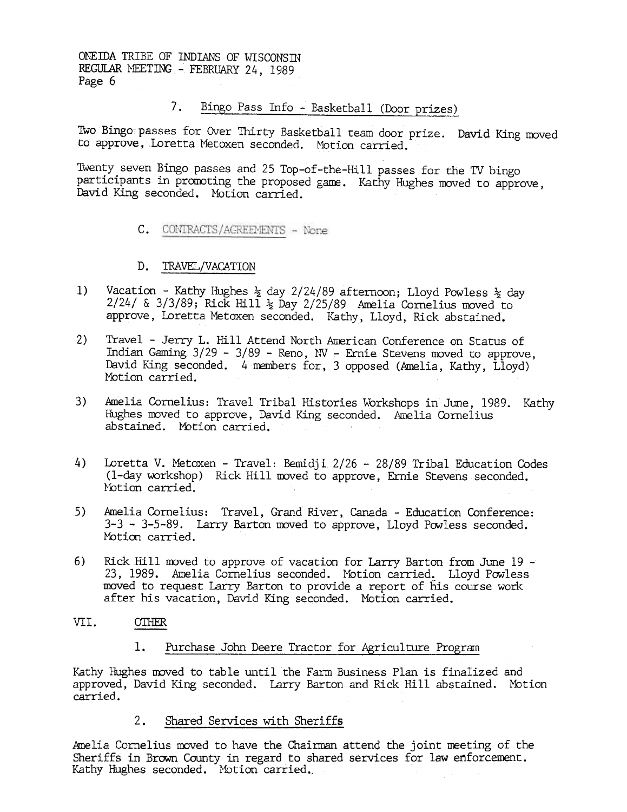ONE IDA TRIBE OF INDIANS OF WISCONSIN REGULAR MEETING - FEBRUARY 24, 1989 Page 6

> $7.$ Bingo Pass Info - Basketball (Door prizes)

TWo Bingo passes for Over Thirty Basketball team door prize. DaVid King moved to approve, Loretta Metoxen seconded. Motion carried.

Twenty seven Bingo passes and 25 Top-of-the-Hill passes for the TV bingo participants in promoting the proposed game. Kathy Hughes moved to approve, David King seconded. Motion carried.

- C. CONTRACTS/AGREEMENTS None
- D. TRAVEL/VACATION
- 1) Vacation Kathy Hughes  $\frac{1}{2}$  day 2/24/89 afternoon; Lloyd Powless  $\frac{1}{2}$  day  $2/24$ / &  $3/3/89$ ; Rick Hill  $\frac{1}{2}$  Day 2/25/89 Amelia Cornelius moved to approve, Loretta Metoxen seconded. Kathy, Lloyd, Rick abstained.
- 2) Travel -Jerry L. Hill Attend North American Conference on Status of Indian Gaming  $3/29 - 3/89$  - Reno, NV - Ernie Stevens moved to approve, David King seconded. 4 members for, 3 opposed (Amelia, Kathy, Lloyd) Motion carried.
- 3) Amelia Cornelius: Travel Tribal Histories Workshops in June, 1989. Kathy Hughes moved to approve, David King seconded. Amelia Cornelius abstained. Motion carried.
- 4) Loretta V. Metoxen Travel: Bemidji 2/26 28/89 Tribal Education Codes (I-day workshop) Rick Hill moved to approve, Ernie Stevens seconded. l'btion carried.
- 5) Amelia Cornelius: Travel, Grand River, Canada -Education Conference: 3-3 - 3-5-89. Larry Barton moved to approve, Lloyd Powless seconded. Motion carried.
- 6) Rick Hill moved to approve of vacation for Larry Barton from June  $19 -$ 23, 1989. Amelia Cornelius seconded. Motion carried. Lloyd Powless moved to request Larry Barton to provide a report of his course work after his vacation, David King seconded. Motion carried.
- VII. OTHER

### 1. Purchase John Deere Tractor for Agriculture Program

Kathy Hughes moved to table until the Farm Business Plan is finalized and approved, David King seconded. Larry Barton and Rick Hill abstained. Motion carried.

> $2.$ Shared Services with Sheriffs

Amelia Cornelius moved to have the Chairman attend the joint meeting of the Sheriffs in Brown County in regard to shared services for law enforcement. Kathy Hughes seconded. Motion carried.